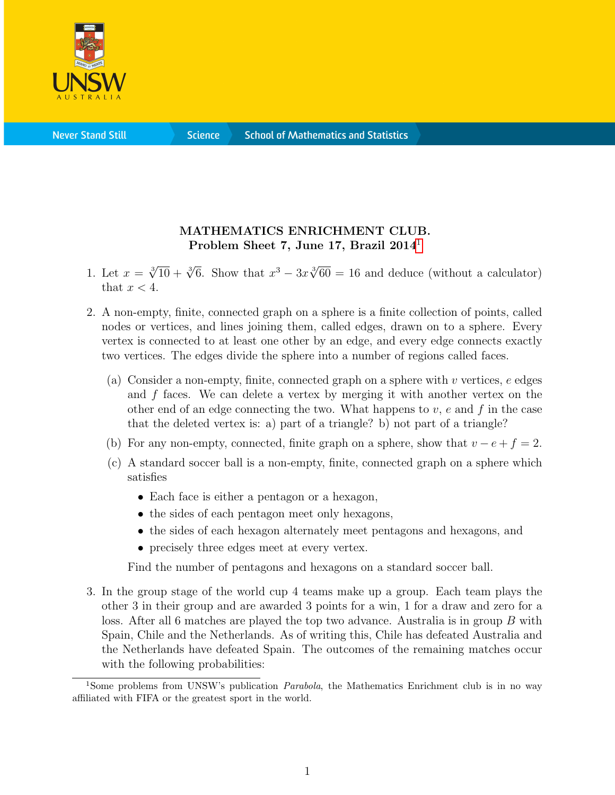

**Science** 

## MATHEMATICS ENRICHMENT CLUB. Problem Sheet 7, June [1](#page-0-0)7, Brazil 2014<sup>1</sup>

- 1. Let  $x = \sqrt[3]{10} + \sqrt[3]{6}$ . Show that  $x^3 3x\sqrt[3]{60} = 16$  and deduce (without a calculator) that  $x < 4$ .
- 2. A non-empty, finite, connected graph on a sphere is a finite collection of points, called nodes or vertices, and lines joining them, called edges, drawn on to a sphere. Every vertex is connected to at least one other by an edge, and every edge connects exactly two vertices. The edges divide the sphere into a number of regions called faces.
	- (a) Consider a non-empty, finite, connected graph on a sphere with  $v$  vertices,  $e$  edges and f faces. We can delete a vertex by merging it with another vertex on the other end of an edge connecting the two. What happens to  $v$ ,  $e$  and  $f$  in the case that the deleted vertex is: a) part of a triangle? b) not part of a triangle?
	- (b) For any non-empty, connected, finite graph on a sphere, show that  $v e + f = 2$ .
	- (c) A standard soccer ball is a non-empty, finite, connected graph on a sphere which satisfies
		- Each face is either a pentagon or a hexagon,
		- the sides of each pentagon meet only hexagons,
		- the sides of each hexagon alternately meet pentagons and hexagons, and
		- precisely three edges meet at every vertex.

Find the number of pentagons and hexagons on a standard soccer ball.

3. In the group stage of the world cup 4 teams make up a group. Each team plays the other 3 in their group and are awarded 3 points for a win, 1 for a draw and zero for a loss. After all 6 matches are played the top two advance. Australia is in group B with Spain, Chile and the Netherlands. As of writing this, Chile has defeated Australia and the Netherlands have defeated Spain. The outcomes of the remaining matches occur with the following probabilities:

<span id="page-0-0"></span><sup>&</sup>lt;sup>1</sup>Some problems from UNSW's publication *Parabola*, the Mathematics Enrichment club is in no way affiliated with FIFA or the greatest sport in the world.